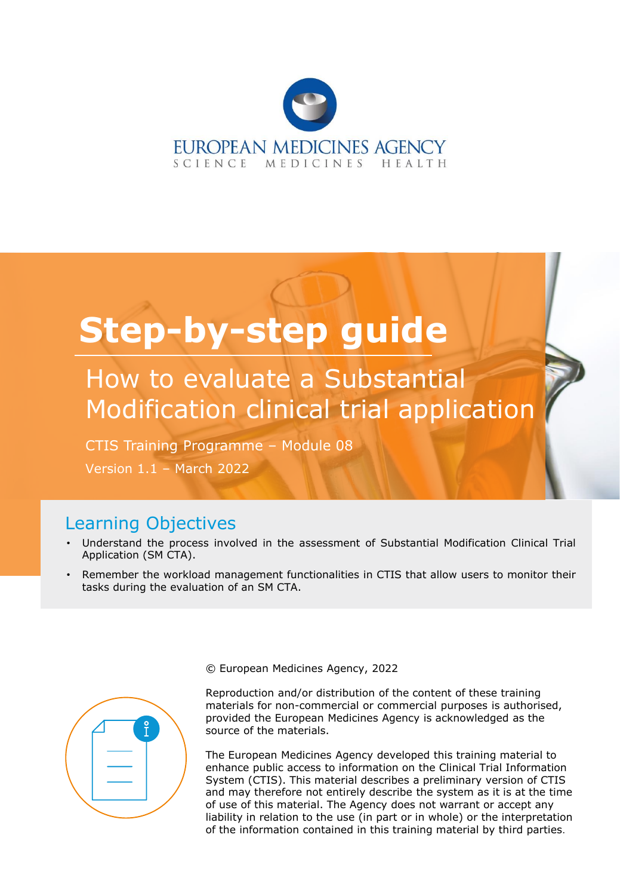

# **Step-by-step guide**

How to evaluate a Substantial Modification clinical trial application

CTIS Training Programme – Module 08

Version 1.1 – March 2022

## Learning Objectives

- Understand the process involved in the assessment of Substantial Modification Clinical Trial Application (SM CTA).
- Remember the workload management functionalities in CTIS that allow users to monitor their tasks during the evaluation of an SM CTA.



© European Medicines Agency, 2022

Reproduction and/or distribution of the content of these training materials for non-commercial or commercial purposes is authorised, provided the European Medicines Agency is acknowledged as the source of the materials.

The European Medicines Agency developed this training material to enhance public access to information on the Clinical Trial Information System (CTIS). This material describes a preliminary version of CTIS and may therefore not entirely describe the system as it is at the time of use of this material. The Agency does not warrant or accept any liability in relation to the use (in part or in whole) or the interpretation of the information contained in this training material by third parties.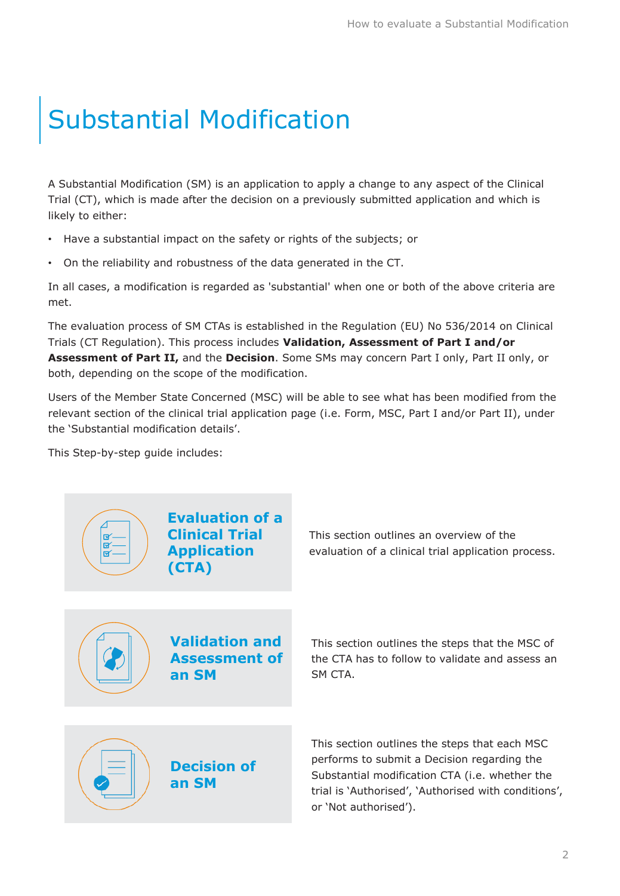## Substantial Modification

A Substantial Modification (SM) is an application to apply a change to any aspect of the Clinical Trial (CT), which is made after the decision on a previously submitted application and which is likely to either:

- Have a substantial impact on the safety or rights of the subjects; or
- On the reliability and robustness of the data generated in the CT.

In all cases, a modification is regarded as 'substantial' when one or both of the above criteria are met.

The evaluation process of SM CTAs is established in the Regulation (EU) No 536/2014 on Clinical Trials (CT Regulation). This process includes **Validation, Assessment of Part I and/or Assessment of Part II,** and the **Decision**. Some SMs may concern Part I only, Part II only, or both, depending on the scope of the modification.

Users of the Member State Concerned (MSC) will be able to see what has been modified from the relevant section of the clinical trial application page (i.e. Form, MSC, Part I and/or Part II), under the 'Substantial modification details'.

This Step-by-step guide includes:

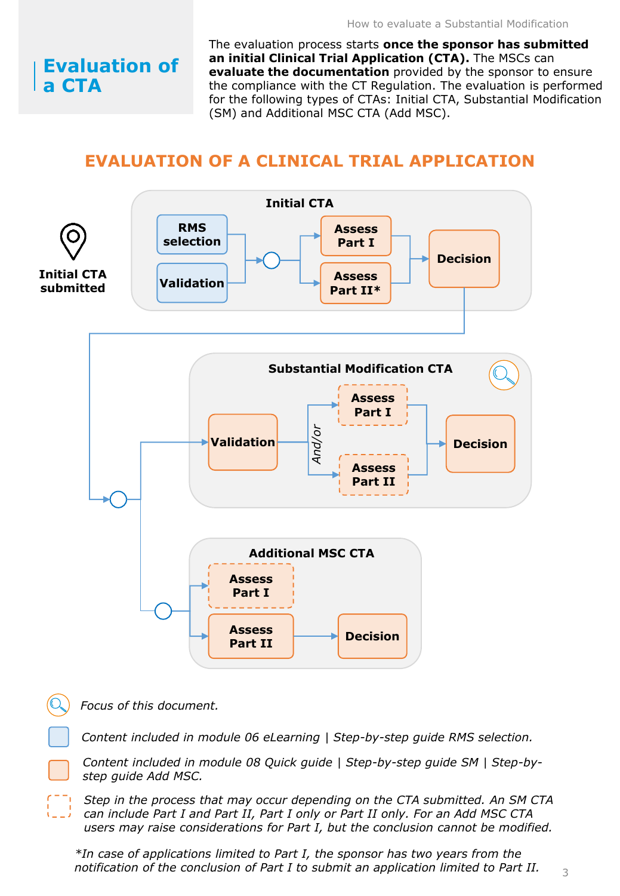## **Evaluation of a CTA**

The evaluation process starts **once the sponsor has submitted an initial Clinical Trial Application (CTA).** The MSCs can **evaluate the documentation** provided by the sponsor to ensure the compliance with the CT Regulation. The evaluation is performed for the following types of CTAs: Initial CTA, Substantial Modification (SM) and Additional MSC CTA (Add MSC).

## **EVALUATION OF A CLINICAL TRIAL APPLICATION**



*Focus of this document.*

*Content included in module 06 eLearning | Step-by-step guide RMS selection.*

*Content included in module 08 Quick guide | Step-by-step guide SM | Step-bystep guide Add MSC.*

*Step in the process that may occur depending on the CTA submitted. An SM CTA can include Part I and Part II, Part I only or Part II only. For an Add MSC CTA users may raise considerations for Part I, but the conclusion cannot be modified.*

*\*In case of applications limited to Part I, the sponsor has two years from the notification of the conclusion of Part I to submit an application limited to Part II.*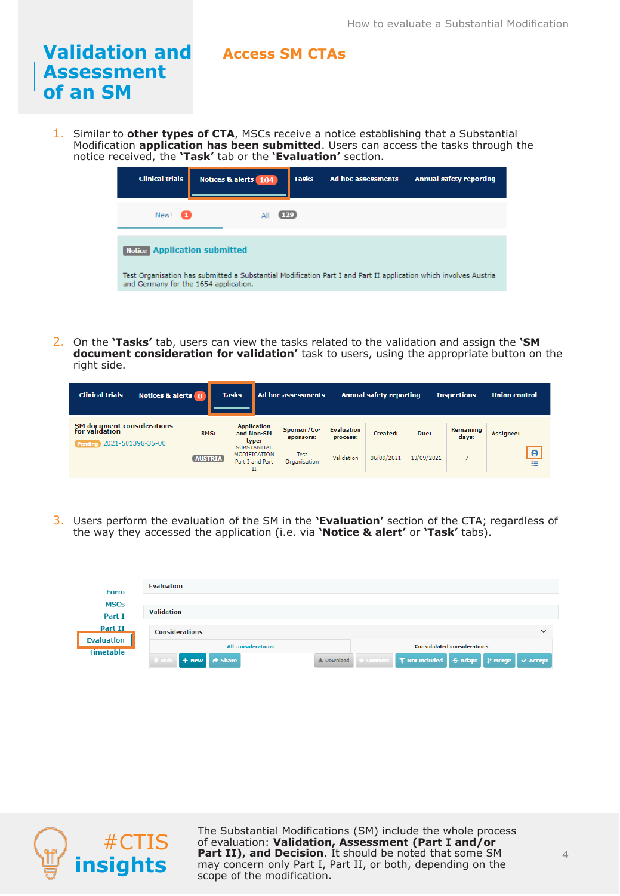#### **Validation and Assessment of an SM Access SM CTAs**

1. Similar to **other types of CTA**, MSCs receive a notice establishing that a Substantial Modification **application has been submitted**. Users can access the tasks through the notice received, the **'Task'** tab or the **'Evaluation'** section.

| <b>Clinical trials</b>                | Notices & alerts 104                                                                                             | <b>Tasks</b> | Ad hoc assessments | <b>Annual safety reporting</b> |
|---------------------------------------|------------------------------------------------------------------------------------------------------------------|--------------|--------------------|--------------------------------|
| New!                                  | ΔI                                                                                                               | <b>129</b>   |                    |                                |
| <b>Notice Application submitted</b>   |                                                                                                                  |              |                    |                                |
| and Germany for the 1654 application. | Test Organisation has submitted a Substantial Modification Part I and Part II application which involves Austria |              |                    |                                |

2. On the **'Tasks'** tab, users can view the tasks related to the validation and assign the **'SM document consideration for validation'** task to users, using the appropriate button on the right side.

| <b>Clinical trials</b><br>Notices & alerts 0                                        |                | <b>Tasks</b>                                             | Ad hoc assessments          |                               | <b>Annual safety reporting</b> |            | <b>Inspections</b>        | <b>Union control</b> |
|-------------------------------------------------------------------------------------|----------------|----------------------------------------------------------|-----------------------------|-------------------------------|--------------------------------|------------|---------------------------|----------------------|
| <b>SM</b> document considerations<br>for validation<br>2021-501398-35-00<br>Pendine | RMS:           | <b>Application</b><br>and Non-SM<br>type:<br>SUBSTANTIAL | Sponsor/Co-<br>sponsors:    | <b>Evaluation</b><br>process: | Created:                       | Due:       | <b>Remaining</b><br>days: | <b>Assignee:</b>     |
|                                                                                     | <b>AUSTRIA</b> | <b>MODIFICATION</b><br>Part I and Part<br>п              | <b>Test</b><br>Organisation | Validation                    | 06/09/2021                     | 13/09/2021 |                           | $\frac{1}{11}$       |

3. Users perform the evaluation of the SM in the **'Evaluation'** section of the CTA; regardless of the way they accessed the application (i.e. via **'Notice & alert'** or **'Task'** tabs).

| <b>Form</b>                  | Evaluation                     |                                                                         |
|------------------------------|--------------------------------|-------------------------------------------------------------------------|
| <b>MSCs</b><br>Part I        | <b>Validation</b>              |                                                                         |
| Part II<br><b>Evaluation</b> | <b>Considerations</b>          | $\checkmark$                                                            |
| <b>Timetable</b>             | <b>All considerations</b>      | <b>Consolidated considerations</b>                                      |
|                              | + New P Share<br><b>B</b> Unde | ● Comment   T Not included   S Adapt   P Merge   V Accept<br>上 Download |



The Substantial Modifications (SM) include the whole process of evaluation: **Validation, Assessment (Part I and/or Part II), and Decision**. It should be noted that some SM may concern only Part I, Part II, or both, depending on the scope of the modification.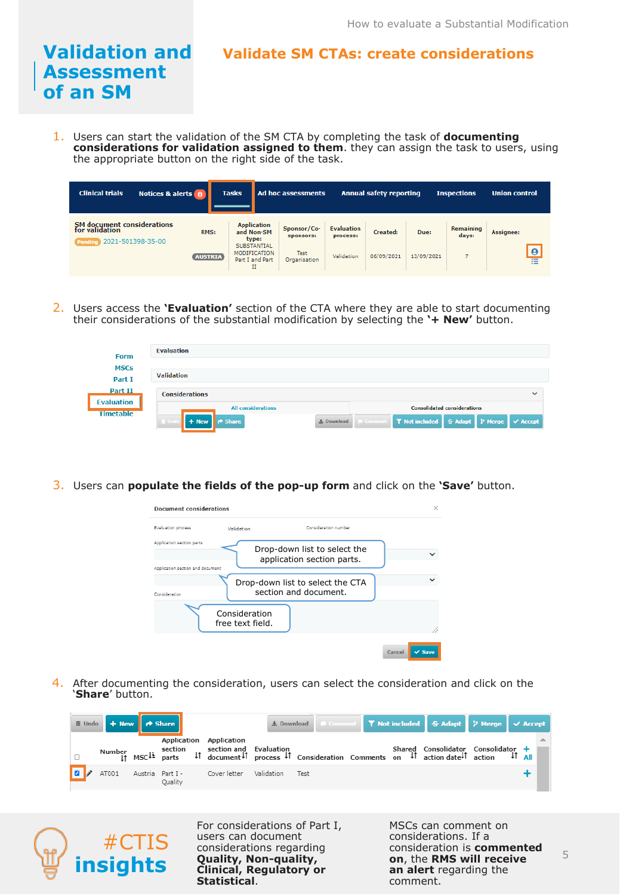## **Validate SM CTAs: create considerations**

1. Users can start the validation of the SM CTA by completing the task of **documenting considerations for validation assigned to them**. they can assign the task to users, using the appropriate button on the right side of the task.

| <b>Clinical trials</b><br>Notices & alerts 0                                               |                  | <b>Tasks</b>                                        | Ad hoc assessments       |                               | <b>Annual safety reporting</b> |            | <b>Inspections</b>        | <b>Union control</b> |
|--------------------------------------------------------------------------------------------|------------------|-----------------------------------------------------|--------------------------|-------------------------------|--------------------------------|------------|---------------------------|----------------------|
| <b>SM</b> document considerations<br>for validation<br>2021-501398-35-00<br><b>Pending</b> | RMS:             | <b>Application</b><br>and Non-SM<br>type:           | Sponsor/Co-<br>sponsors: | <b>Evaluation</b><br>process: | Created:                       | Due:       | <b>Remaining</b><br>days: | <b>Assignee:</b>     |
|                                                                                            | <b>(AUSTRIA)</b> | SUBSTANTIAL<br>MODIFICATION<br>Part I and Part<br>п | Test<br>Organisation     | Validation                    | 06/09/2021                     | 13/09/2021 |                           | $\theta$<br>福        |

2. Users access the **'Evaluation'** section of the CTA where they are able to start documenting their considerations of the substantial modification by selecting the **'+ New'** button.

| <b>Form</b>           | <b>Evaluation</b>              |                                                                                                 |
|-----------------------|--------------------------------|-------------------------------------------------------------------------------------------------|
| <b>MSCs</b><br>Part I | <b>Validation</b>              |                                                                                                 |
| Part II               | <b>Considerations</b>          | $\checkmark$                                                                                    |
| <b>Evaluation</b>     | <b>All considerations</b>      | <b>Consolidated considerations</b>                                                              |
| <b>Timetable</b>      | $+$ New<br>$\rightarrow$ Share | <b>9 Comment</b>   T Not included   <del>S</del> Adapt   P Merge<br>$\vee$ Accept<br>上 Download |

3. Users can **populate the fields of the pop-up form** and click on the **'Save'** button.

| Document considerations                                       |                                                            | $\times$              |
|---------------------------------------------------------------|------------------------------------------------------------|-----------------------|
| Evaluation process                                            | Validation                                                 | Consideration number  |
| Application section parts<br>Application section and document | Drop-down list to select the<br>application section parts. |                       |
| Consideration                                                 | Drop-down list to select the CTA<br>section and document.  |                       |
|                                                               | Consideration<br>free text field.                          |                       |
|                                                               |                                                            | $\vee$ Save<br>Cancel |

4. After documenting the consideration, users can select the consideration and click on the '**Share**' button.

| <b>ii</b> Undo + New → Share |         |                                                                                                                                                                                                                                                                                                      |  |  | L Download   © Comment   T Not included   S Adapt   P Merge   V Accept |  |  |
|------------------------------|---------|------------------------------------------------------------------------------------------------------------------------------------------------------------------------------------------------------------------------------------------------------------------------------------------------------|--|--|------------------------------------------------------------------------|--|--|
|                              |         | Application Application<br>Number section section and Evaluation (Shared Consolidator Consolidator + Shared Consolidator Consolidator + 1<br>It MSC <sup>11</sup> process <sup>1</sup> process <sup>1</sup> Consideration Comments on <sup>1</sup> action date <sup>1</sup> action <sup>1</sup> Atli |  |  |                                                                        |  |  |
|                              | Ouality | AT001 Austria Part I - Cover letter Validation Test                                                                                                                                                                                                                                                  |  |  |                                                                        |  |  |



**Validation and** 

**Assessment** 

**of an SM**

For considerations of Part I, users can document considerations regarding **Quality, Non-quality, Clinical, Regulatory or Statistical**.

MSCs can comment on considerations. If a consideration is **commented on**, the **RMS will receive an alert** regarding the comment.

5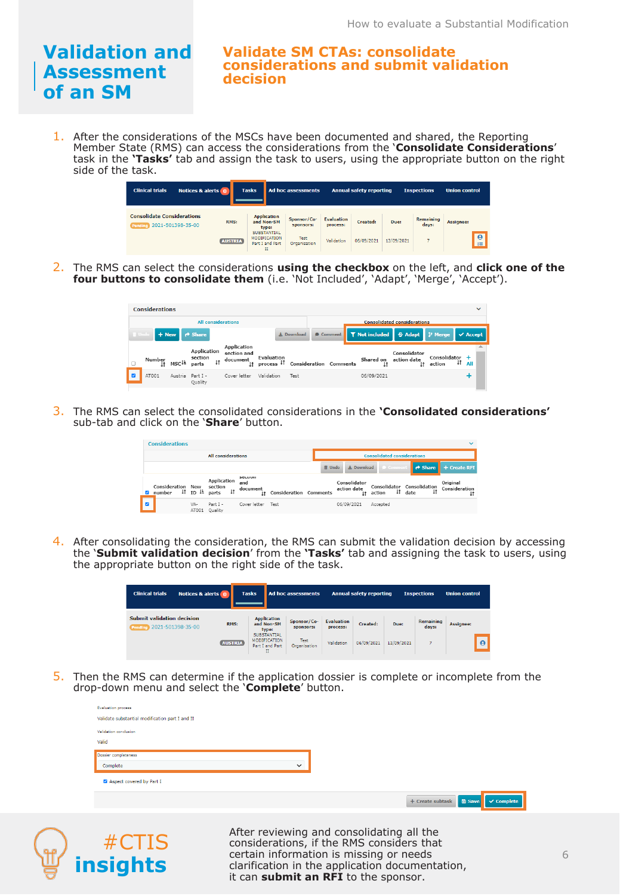**insights**

#### **Validate SM CTAs: consolidate considerations and submit validation decision**

1. After the considerations of the MSCs have been documented and shared, the Reporting Member State (RMS) can access the considerations from the '**Consolidate Considerations**' task in the **'Tasks'** tab and assign the task to users, using the appropriate button on the right side of the task.



2. The RMS can select the considerations **using the checkbox** on the left, and **click one of the four buttons to consolidate them** (i.e. 'Not Included', 'Adapt', 'Merge', 'Accept').

|      | <b>Considerations</b> |                        |                                                 |                                           |            |            |                                   |                             |                                    |                          |           | $\checkmark$ |
|------|-----------------------|------------------------|-------------------------------------------------|-------------------------------------------|------------|------------|-----------------------------------|-----------------------------|------------------------------------|--------------------------|-----------|--------------|
|      |                       |                        | <b>All considerations</b>                       |                                           |            |            |                                   |                             | <b>Consolidated considerations</b> |                          |           |              |
| Undo |                       |                        | $+$ New $\bullet$ Share                         |                                           |            | 土 Download | Comment                           |                             |                                    |                          |           |              |
|      |                       |                        |                                                 | Application                               |            |            |                                   |                             |                                    |                          |           |              |
|      | Number<br>It.         | MSC <sup>1</sup> parts | <b>Application</b><br>section<br>$\downarrow$ † | section and<br>document<br>1 <sup>†</sup> | Evaluation |            | process IT Consideration Comments | Shared on action date<br>11 | Consolidator<br>1 <sup>†</sup>     | Consolidator +<br>action | 11<br>All |              |

3. The RMS can select the consolidated considerations in the **'Consolidated considerations'**  sub-tab and click on the '**Share**' button.

|                           | <b>Considerations</b>              |  |              |                                                                                                        |  |                                            |                        |        |  |                                           |          |                            |                                      |              | $\checkmark$              |
|---------------------------|------------------------------------|--|--------------|--------------------------------------------------------------------------------------------------------|--|--------------------------------------------|------------------------|--------|--|-------------------------------------------|----------|----------------------------|--------------------------------------|--------------|---------------------------|
| <b>All considerations</b> |                                    |  |              |                                                                                                        |  | <b>Consolidated considerations</b>         |                        |        |  |                                           |          |                            |                                      |              |                           |
|                           |                                    |  |              |                                                                                                        |  |                                            |                        | 而 Undo |  | 土 Download                                |          | <b>9</b> Comment           | $\mathsf{P}$ $\mathsf{\Theta}$ Share |              | + Create RFI              |
|                           | <b>Consideration New</b><br>number |  |              | Application<br>section<br>$\downarrow \uparrow$ ID $\downarrow \downarrow$ parts $\downarrow \uparrow$ |  | SCLUVII<br>and<br>document<br>$\mathsf{I}$ | Consideration Comments |        |  | Consolidator<br>action date<br>$\ddagger$ | action   | $\downarrow \uparrow$ date | Consolidator Consolidation           | $\downarrow$ | Original<br>Consideration |
|                           |                                    |  | VA-<br>AT001 | Part I -<br>Quality                                                                                    |  | Cover letter                               | Test                   |        |  | 06/09/2021                                | Accepted |                            |                                      |              |                           |

4. After consolidating the consideration, the RMS can submit the validation decision by accessing the '**Submit validation decision**' from the **'Tasks'** tab and assigning the task to users, using the appropriate button on the right side of the task.

| <b>Clinical trials</b>                                  | Notices & alerts 0 |                | <b>Tasks</b>                                                      | Ad hoc assessments       |                               | <b>Annual safety reporting</b> |            | <b>Inspections</b>        | <b>Union control</b> |  |
|---------------------------------------------------------|--------------------|----------------|-------------------------------------------------------------------|--------------------------|-------------------------------|--------------------------------|------------|---------------------------|----------------------|--|
| Submit validation decision<br>Pending 2021-501398-35-00 |                    | RMS:           | <b>Application</b><br>and Non-SM<br>type:                         | Sponsor/Co-<br>sponsors: | <b>Evaluation</b><br>process: | Created:                       | Due:       | <b>Remaining</b><br>days: | Assignee:            |  |
|                                                         |                    | <b>AUSTRIA</b> | <b>SUBSTANTIAL</b><br><b>MODIFICATION</b><br>Part I and Part<br>п | Test<br>Organisation     | Validation                    | 06/09/2021                     | 13/09/2021 |                           | $\theta$             |  |

5. Then the RMS can determine if the application dossier is complete or incomplete from the drop-down menu and select the '**Complete**' button.

| <b>Evaluation process</b>                       |                                                                                                                                                                   |
|-------------------------------------------------|-------------------------------------------------------------------------------------------------------------------------------------------------------------------|
| Validate substantial modification part I and II |                                                                                                                                                                   |
| Validation conclusion                           |                                                                                                                                                                   |
| Valid                                           |                                                                                                                                                                   |
| Dossier completeness                            |                                                                                                                                                                   |
| Complete                                        | $\check{ }$                                                                                                                                                       |
| Aspect covered by Part I                        | <b>8</b> Save<br>$\checkmark$ Complete<br>+ Create subtask                                                                                                        |
| #CTIS                                           | After reviewing and consolidating all the<br>considerations, if the RMS considers that<br>a contract of the Common antique of a most analysis of a common and all |

certain information is missing or needs clarification in the application documentation,

it can **submit an RFI** to the sponsor.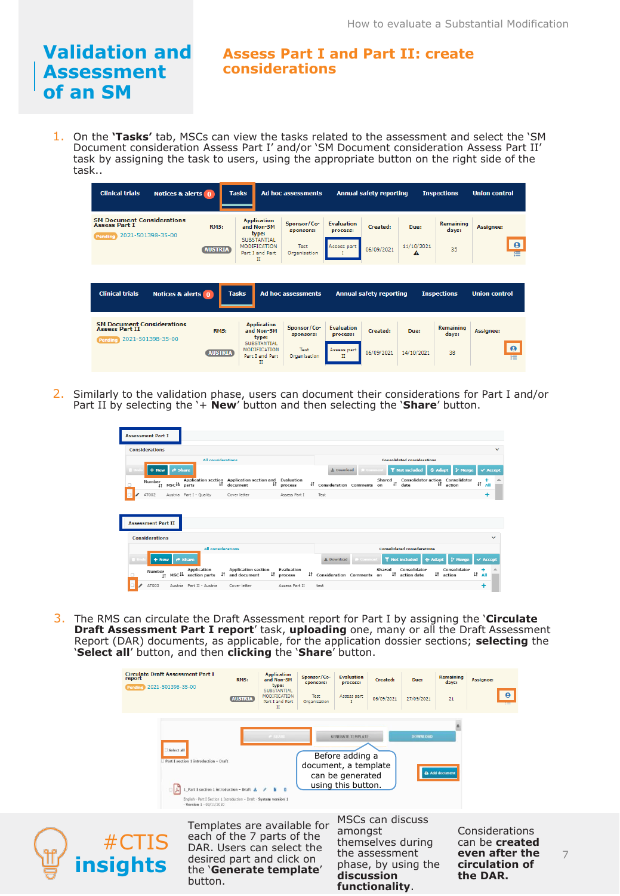#### **Assess Part I and Part II: create considerations**

1. On the **'Tasks'** tab, MSCs can view the tasks related to the assessment and select the 'SM Document consideration Assess Part I' and/or 'SM Document consideration Assess Part II' task by assigning the task to users, using the appropriate button on the right side of the task..

| <b>Clinical trials</b><br>Notices & alerts 0                                               | <b>Tasks</b>           |                                                                                                         | Ad hoc assessments                                      |                                                   | <b>Annual safety reporting</b> |                                    | <b>Inspections</b>              | <b>Union control</b>                            |
|--------------------------------------------------------------------------------------------|------------------------|---------------------------------------------------------------------------------------------------------|---------------------------------------------------------|---------------------------------------------------|--------------------------------|------------------------------------|---------------------------------|-------------------------------------------------|
| <b>SM Document Considerations</b><br><b>Assess Part I</b><br>2021-501398-35-00<br>Pending  | RMS:<br><b>AUSTRIA</b> | <b>Application</b><br>and Non-SM<br>type:<br>SUBSTANTIAL<br>MODIFICATION<br>Part I and Part<br>п        | Sponsor/Co-<br>sponsors:<br><b>Test</b><br>Organisation | <b>Evaluation</b><br>process:<br>Assess part      | Created:<br>06/09/2021         | Due:<br>11/10/2021<br>$\mathbf{A}$ | Remaining<br>days:<br>35        | <b>Assignee:</b><br>$\boldsymbol{\Theta}$<br>'n |
| <b>Clinical trials</b><br>Notices & alerts 0                                               | <b>Tasks</b>           |                                                                                                         | Ad hoc assessments                                      |                                                   | <b>Annual safety reporting</b> |                                    | <b>Inspections</b>              | <b>Union control</b>                            |
| <b>SM Document Considerations</b><br><b>Assess Part II</b><br>2021-501398-35-00<br>Pending | RMS:<br><b>AUSTRIA</b> | <b>Application</b><br>and Non-SM<br>type:<br><b>SUBSTANTIAL</b><br>MODIFICATION<br>Part I and Part<br>п | Sponsor/Co-<br>sponsors:<br><b>Test</b><br>Organisation | <b>Evaluation</b><br>process:<br>Assess part<br>п | Created:<br>06/09/2021         | Due:<br>14/10/2021                 | <b>Remaining</b><br>days:<br>38 | Assignee:<br>$\mathbf{\Theta}$<br>狂             |

2. Similarly to the validation phase, users can document their considerations for Part I and/or Part II by selecting the '+ **New**' button and then selecting the '**Share**' button.

|                           |        |        |                                                                                                                          |                                                                                                                                            |                                                    |                                                                                                       |                                                                                                                         |                                                | $\checkmark$                                |
|---------------------------|--------|--------|--------------------------------------------------------------------------------------------------------------------------|--------------------------------------------------------------------------------------------------------------------------------------------|----------------------------------------------------|-------------------------------------------------------------------------------------------------------|-------------------------------------------------------------------------------------------------------------------------|------------------------------------------------|---------------------------------------------|
| <b>All considerations</b> |        |        |                                                                                                                          |                                                                                                                                            |                                                    |                                                                                                       | <b>Consolidated considerations</b>                                                                                      |                                                |                                             |
|                           |        |        |                                                                                                                          |                                                                                                                                            |                                                    |                                                                                                       | <b>T</b> Not included<br>土 Download<br>÷ Adapt<br>Commen                                                                |                                                | $\times$ Accept                             |
|                           | Number |        | parts                                                                                                                    | document                                                                                                                                   |                                                    |                                                                                                       | <b>Consolidator action</b><br>Consolidator<br>Shared<br>$\ddagger$<br>11<br>date<br>Consideration Comments on<br>action |                                                | $\updownarrow \uparrow$ All                 |
|                           | AT002  |        |                                                                                                                          | Cover letter                                                                                                                               | Assess Part I                                      |                                                                                                       | Test                                                                                                                    |                                                | +                                           |
|                           |        |        |                                                                                                                          |                                                                                                                                            |                                                    |                                                                                                       |                                                                                                                         |                                                |                                             |
|                           |        |        |                                                                                                                          |                                                                                                                                            |                                                    |                                                                                                       |                                                                                                                         |                                                |                                             |
|                           |        |        |                                                                                                                          |                                                                                                                                            |                                                    |                                                                                                       |                                                                                                                         |                                                | $\checkmark$                                |
|                           |        |        |                                                                                                                          |                                                                                                                                            |                                                    |                                                                                                       | <b>Consolidated considerations</b>                                                                                      |                                                |                                             |
|                           |        |        |                                                                                                                          |                                                                                                                                            |                                                    |                                                                                                       | 土 Download<br><b>T</b> Not included<br>& Adapt<br>Commen<br>P Merge                                                     |                                                | $\times$ Accept                             |
|                           |        |        | Application                                                                                                              | <b>Application section</b>                                                                                                                 | Evaluation                                         |                                                                                                       | Consolidator<br>Consolidator<br>Shared<br>$\downarrow$ t<br><sup>1</sup> action date<br>action                          |                                                |                                             |
|                           | AT003  |        |                                                                                                                          | Cover letter                                                                                                                               | Assess Part II                                     |                                                                                                       | test                                                                                                                    |                                                |                                             |
|                           |        | Number | <b>Assessment Part I</b><br><b>Considerations</b><br><b>Assessment Part II</b><br><b>Considerations</b><br>$+$ New<br>11 | + New Pr Share<br>jt mscil<br>Austria Part I - Quality<br>$\triangle$ Share<br>MSC <sup>1</sup> section parts<br>Austria Part II - Austria | 41<br><b>All considerations</b><br>IT and document | Application section Application section and Evaluation<br>$\downarrow \uparrow$ process<br>If process |                                                                                                                         | $\downarrow$ t<br>If Consideration Comments on | <b>P</b> Merge<br>+<br>$\text{II}$ All<br>٠ |

3. The RMS can circulate the Draft Assessment report for Part I by assigning the '**Circulate Draft Assessment Part I report**' task, **uploading** one, many or all the Draft Assessment Report (DAR) documents, as applicable, for the application dossier sections; **selecting** the '**Select all**' button, and then **clicking** the '**Share**' button.

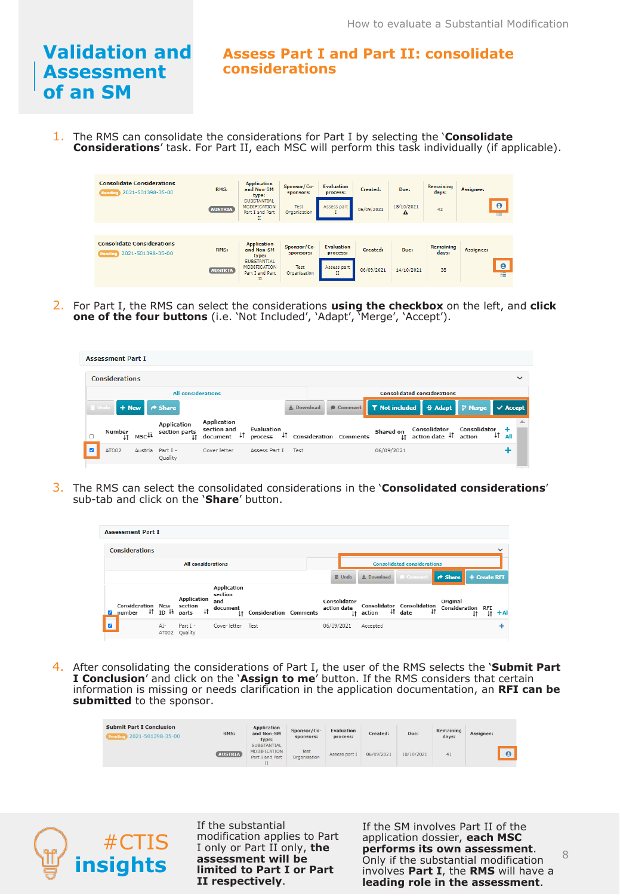#### **Assess Part I and Part II: consolidate considerations**

1. The RMS can consolidate the considerations for Part I by selecting the '**Consolidate Considerations**' task. For Part II, each MSC will perform this task individually (if applicable).

| <b>Consolidate Considerations</b><br>Pending 2021-501398-35-00    | RMS:<br><b>AUSTRIA</b> | <b>Application</b><br>and Non-SM<br>type:<br><b>SUBSTANTIAL</b><br><b>MODIFICATION</b><br>Part I and Part<br>H | Sponsor/Co-<br>sponsors:<br><b>Test</b><br>Organisation | <b>Evaluation</b><br>process:<br>Assess part      | Created:<br>06/09/2021 | Due:<br>18/10/2021<br>Α | <b>Remaining</b><br>days:<br>42 | <b>Assignee:</b><br>$\theta$<br>≔        |
|-------------------------------------------------------------------|------------------------|----------------------------------------------------------------------------------------------------------------|---------------------------------------------------------|---------------------------------------------------|------------------------|-------------------------|---------------------------------|------------------------------------------|
| <b>Consolidate Considerations</b><br>2021-501398-35-00<br>Pending | RMS:<br><b>AUSTRIA</b> | <b>Application</b><br>and Non-SM<br>type:<br><b>SUBSTANTIAL</b><br><b>MODIFICATION</b><br>Part I and Part<br>П | Sponsor/Co-<br>sponsors:<br>Test<br>Organisation        | <b>Evaluation</b><br>process:<br>Assess part<br>п | Created:<br>06/09/2021 | Due:<br>14/10/2021      | Remaining<br>days:<br>38        | Assignee:<br>$\boldsymbol{\Theta}$<br>YΞ |

2. For Part I, the RMS can select the considerations **using the checkbox** on the left, and **click one of the four buttons** (i.e. 'Not Included', 'Adapt', 'Merge', 'Accept').

| <b>Assessment Part I</b>              |                  |                                    |                                                     |                       |                   |  |                                     |                             |                                    |                        |                        |  |
|---------------------------------------|------------------|------------------------------------|-----------------------------------------------------|-----------------------|-------------------|--|-------------------------------------|-----------------------------|------------------------------------|------------------------|------------------------|--|
| <b>Considerations</b><br>$\checkmark$ |                  |                                    |                                                     |                       |                   |  |                                     |                             |                                    |                        |                        |  |
| <b>All considerations</b>             |                  |                                    |                                                     |                       |                   |  |                                     |                             | <b>Consolidated considerations</b> |                        |                        |  |
| $+$ New<br><b>B</b> Undo              |                  | ↑ Share                            |                                                     |                       | <b>上 Download</b> |  | Comment                             | <b>T</b> Not included       | <b>S</b> Adapt                     | <b>P</b> Merge         | $\vee$ Accept          |  |
| Number<br>$\downarrow$ t              | MSC <sup>1</sup> | Application<br>section parts<br>1t | <b>Application</b><br>section and<br>41<br>document | Evaluation<br>process |                   |  | <sup>1</sup> Consideration Comments | Shared on<br>1 <sup>†</sup> | Consolidator<br>action date 41     | Consolidator<br>action | ÷<br>$\frac{1}{2}$ All |  |
| AT002                                 | Austria          | Part I -<br>Quality                | Cover letter                                        | Assess Part I         | Test              |  |                                     | 06/09/2021                  |                                    |                        | +                      |  |

3. The RMS can select the consolidated considerations in the '**Consolidated considerations**' sub-tab and click on the '**Share**' button.

| <b>Assessment Part I</b>                   |                                                        |                                          |                                                        |                               |  |                                    |               |            |                                                                |                               |              |    |        |
|--------------------------------------------|--------------------------------------------------------|------------------------------------------|--------------------------------------------------------|-------------------------------|--|------------------------------------|---------------|------------|----------------------------------------------------------------|-------------------------------|--------------|----|--------|
| <b>Considerations</b><br>$\checkmark$      |                                                        |                                          |                                                        |                               |  |                                    |               |            |                                                                |                               |              |    |        |
| <b>All considerations</b>                  |                                                        |                                          |                                                        |                               |  | <b>Consolidated considerations</b> |               |            |                                                                |                               |              |    |        |
|                                            |                                                        |                                          |                                                        |                               |  |                                    | <b>面</b> Undo | 上 Download | Commer                                                         | $\rightarrow$ Share           | + Create RFI |    |        |
| Consideration New<br>2 <sup>2</sup> number | $\downarrow \uparrow$ ID $\downarrow \downarrow$ parts | Application<br>section<br>$\downarrow$ 1 | <b>Application</b><br>section<br>and<br>document<br>1t | <b>Consideration Comments</b> |  | Consolidator<br>action date        | 1t            | action     | Consolidator Consolidation<br>41<br>$\downarrow \uparrow$ date | Original<br>Consideration RFI |              | 1t | $+$ Al |
|                                            | AI-<br>AT002                                           | Part I -<br>Quality                      | Cover letter                                           | Test                          |  | 06/09/2021                         |               | Accepted   |                                                                |                               |              |    |        |

4. After consolidating the considerations of Part I, the user of the RMS selects the '**Submit Part I Conclusion**' and click on the '**Assign to me**' button. If the RMS considers that certain information is missing or needs clarification in the application documentation, an **RFI can be submitted** to the sponsor.

| <b>Submit Part I Conclusion</b><br>2021-501398-35-00<br><b>Pend</b> | <b>STATISTICS</b><br>RMS: | <b>Application</b><br>and Non-SM<br>type:                 | Sponsor/Co-<br>sponsors: | Evaluation<br>process: | Created:   | Due:       | Remaining<br>days: | Assignee: |                       |
|---------------------------------------------------------------------|---------------------------|-----------------------------------------------------------|--------------------------|------------------------|------------|------------|--------------------|-----------|-----------------------|
|                                                                     | <b>AUSTRIA</b>            | SUBSTANTIAL<br>MODIFICATION<br>Part I and Part<br>$_{II}$ | Test<br>Organisation.    | Assess part I          | 06/09/2021 | 18/10/2021 | 41                 |           | $\boldsymbol{\Theta}$ |



If the substantial modification applies to Part I only or Part II only, **the assessment will be limited to Part I or Part II respectively**.

**insights** assessment will be only if the substantial modification and **insights** assessment will be only if the substantial modification and **insights** imited to Part I or Part involves Part I, the RMS will have a If the SM involves Part II of the application dossier, **each MSC performs its own assessment**. Only if the substantial modification **leading role in the assessment**.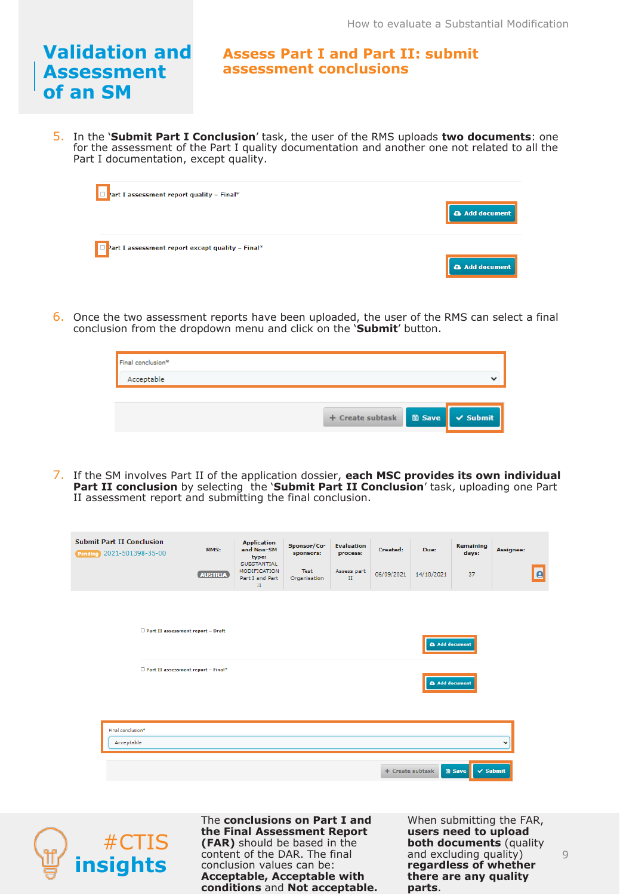**Assess Part I and Part II: submit assessment conclusions**

5. In the '**Submit Part I Conclusion**' task, the user of the RMS uploads **two documents**: one for the assessment of the Part I quality documentation and another one not related to all the Part I documentation, except quality.



6. Once the two assessment reports have been uploaded, the user of the RMS can select a final conclusion from the dropdown menu and click on the '**Submit**' button.

| Final conclusion* |                  |                        |
|-------------------|------------------|------------------------|
| Acceptable        |                  | $\checkmark$           |
|                   |                  |                        |
|                   | + Create subtask | <b>■ Save</b> √ Submit |

7. If the SM involves Part II of the application dossier, **each MSC provides its own individual Part II conclusion** by selecting the **'Submit Part II Conclusion'** task, uploading one Part II assessment report and submitting the final conclusion.

| <b>Submit Part II Conclusion</b><br>Pending 2021-501398-35-00 |                                    | RMS:<br><b>AUSTRIA</b> | <b>Application</b><br>and Non-SM<br>type:<br><b>SUBSTANTIAL</b><br><b>MODIFICATION</b><br>Part I and Part<br>$\scriptstyle\rm II$ | Sponsor/Co-<br>sponsors:<br>Test<br>Organisation | <b>Evaluation</b><br>process:<br>Assess part<br>$\mathbf{II}$ | Created:<br>06/09/2021 | Due:<br>14/10/2021 | Remaining<br>days:<br>37             | Assignee:    | $\bullet$ |  |
|---------------------------------------------------------------|------------------------------------|------------------------|-----------------------------------------------------------------------------------------------------------------------------------|--------------------------------------------------|---------------------------------------------------------------|------------------------|--------------------|--------------------------------------|--------------|-----------|--|
|                                                               | Part II assessment report - Draft  |                        |                                                                                                                                   |                                                  | Add document                                                  |                        |                    |                                      |              |           |  |
|                                                               | Part II assessment report - Final* |                        |                                                                                                                                   |                                                  |                                                               |                        |                    | <b>a</b> Add document                |              |           |  |
| Final conclusion*<br>Acceptable                               |                                    |                        |                                                                                                                                   |                                                  |                                                               |                        |                    |                                      | $\checkmark$ |           |  |
|                                                               |                                    |                        |                                                                                                                                   |                                                  |                                                               | + Create subtask       |                    | <b>图 Save</b><br>$\checkmark$ Submit |              |           |  |



**insights** content of the DAR. The final and excluding quality) 9<br> **insights** conclusion values can be:<br> **insights** contract contract the there are any quality The **conclusions on Part I and the Final Assessment Report (FAR)** should be based in the conclusion values can be: **Acceptable, Acceptable with conditions** and **Not acceptable.** 

When submitting the FAR, **users need to upload both documents** (quality and excluding quality) **regardless of whether there are any quality parts**.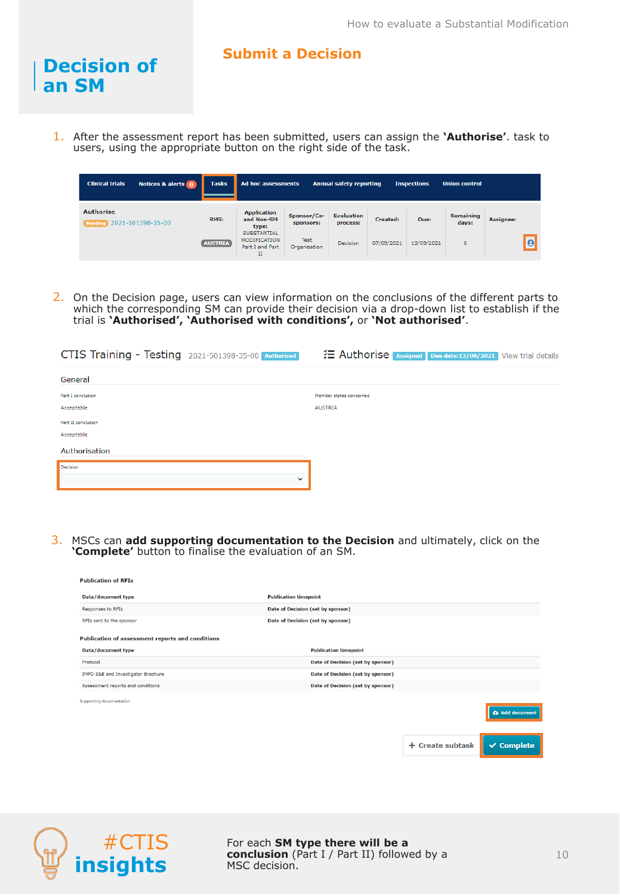#### **Submit a Decision**

1. After the assessment report has been submitted, users can assign the **'Authorise'**. task to users, using the appropriate button on the right side of the task.

| <b>Clinical trials</b><br>Notices & alerts 0  | <b>Tasks</b>   | Ad hoc assessments                                                |                             | <b>Annual safety reporting</b> |            | <b>Inspections</b> | <b>Union control</b> |                  |
|-----------------------------------------------|----------------|-------------------------------------------------------------------|-----------------------------|--------------------------------|------------|--------------------|----------------------|------------------|
| <b>Authorise</b><br>Pending 2021-501398-35-00 | <b>RMS:</b>    | <b>Application</b><br>and Non-SM<br>type:                         | Sponsor/Co-<br>sponsors:    | <b>Evaluation</b><br>process:  | Created:   | Due:               | Remaining<br>days:   | <b>Assignee:</b> |
|                                               | <b>AUSTRIA</b> | <b>SUBSTANTIAL</b><br><b>MODIFICATION</b><br>Part I and Part<br>п | <b>Test</b><br>Organisation | <b>Decision</b>                | 07/09/2021 | 13/09/2021         | 6                    | <b>le</b>        |

2. On the Decision page, users can view information on the conclusions of the different parts to which the corresponding SM can provide their decision via a drop-down list to establish if the trial is **'Authorised', 'Authorised with conditions',** or **'Not authorised'**.

| CTIS Training - Testing 2021-501398-35-00 Authorised | ₹ Authorise Assigned Due date:13/09/2021 View trial details |
|------------------------------------------------------|-------------------------------------------------------------|
| General                                              |                                                             |
| Part I conclusion                                    | Member states concerned                                     |
| Acceptable                                           | <b>AUSTRIA</b>                                              |
| Part II conclusion                                   |                                                             |
| Acceptable                                           |                                                             |
| Authorisation                                        |                                                             |
| Decision                                             |                                                             |
| $\checkmark$                                         |                                                             |

3. MSCs can **add supporting documentation to the Decision** and ultimately, click on the **'Complete'** button to finalise the evaluation of an SM.

| <b>Publication of RFIs</b>                              |                                   |                  |                       |  |  |  |  |
|---------------------------------------------------------|-----------------------------------|------------------|-----------------------|--|--|--|--|
| Data/document type                                      | <b>Publication timepoint</b>      |                  |                       |  |  |  |  |
| Responses to RFIs                                       | Date of Decision (set by sponsor) |                  |                       |  |  |  |  |
| RFIs sent to the sponsor                                | Date of Decision (set by sponsor) |                  |                       |  |  |  |  |
| <b>Publication of assessment reports and conditions</b> |                                   |                  |                       |  |  |  |  |
| Data/document type                                      | <b>Publication timepoint</b>      |                  |                       |  |  |  |  |
| Protocol                                                | Date of Decision (set by sponsor) |                  |                       |  |  |  |  |
| IMPD S&E and Investigator Brochure                      | Date of Decision (set by sponsor) |                  |                       |  |  |  |  |
| Assessment reports and conditions                       | Date of Decision (set by sponsor) |                  |                       |  |  |  |  |
| Supporting documentation                                |                                   |                  |                       |  |  |  |  |
|                                                         |                                   |                  | Add document          |  |  |  |  |
|                                                         |                                   |                  |                       |  |  |  |  |
|                                                         |                                   | + Create subtask | $\checkmark$ Complete |  |  |  |  |



**Decision of** 

**an SM**